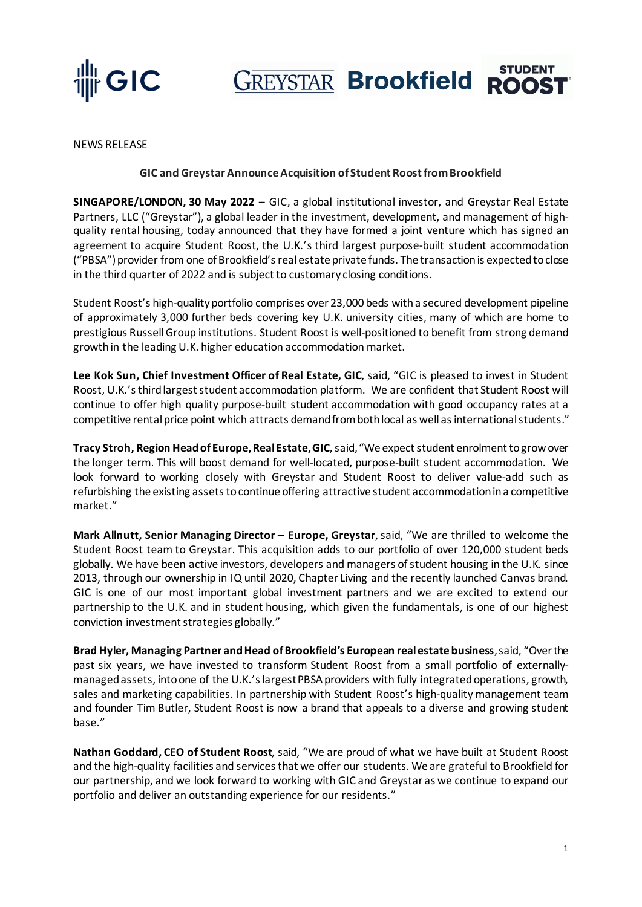

**STUDENT GREYSTAR Brookfield ROOST** 

NEWS RELEASE

#### **GIC and Greystar Announce Acquisition of Student Roost from Brookfield**

**SINGAPORE/LONDON, 30 May 2022** – GIC, a global institutional investor, and Greystar Real Estate Partners, LLC ("Greystar"), a global leader in the investment, development, and management of highquality rental housing, today announced that they have formed a joint venture which has signed an agreement to acquire Student Roost, the U.K.'s third largest purpose-built student accommodation ("PBSA") provider from one of Brookfield's real estate private funds. The transaction is expected to close in the third quarter of 2022 and is subject to customary closing conditions.

Student Roost's high-quality portfolio comprises over 23,000 beds with a secured development pipeline of approximately 3,000 further beds covering key U.K. university cities, many of which are home to prestigious Russell Group institutions. Student Roost is well-positioned to benefit from strong demand growth in the leading U.K. higher education accommodation market.

**Lee Kok Sun, Chief Investment Officer of Real Estate, GIC**, said, "GIC is pleased to invest in Student Roost, U.K.'s third largest student accommodation platform. We are confident that Student Roost will continue to offer high quality purpose-built student accommodation with good occupancy rates at a competitive rental price point which attracts demand from both local as well as international students."

Tracy Stroh, Region Head of Europe, Real Estate, GIC, said, "We expect student enrolment to grow over the longer term. This will boost demand for well-located, purpose-built student accommodation. We look forward to working closely with Greystar and Student Roost to deliver value-add such as refurbishing the existing assets to continue offering attractive student accommodation in a competitive market."

**Mark Allnutt, Senior Managing Director – Europe, Greystar**, said, "We are thrilled to welcome the Student Roost team to Greystar. This acquisition adds to our portfolio of over 120,000 student beds globally. We have been active investors, developers and managers of student housing in the U.K. since 2013, through our ownership in IQ until 2020, Chapter Living and the recently launched Canvas brand. GIC is one of our most important global investment partners and we are excited to extend our partnership to the U.K. and in student housing, which given the fundamentals, is one of our highest conviction investment strategies globally."

**Brad Hyler, Managing Partner and Head of Brookfield's European real estate business**,said, "Over the past six years, we have invested to transform Student Roost from a small portfolio of externallymanaged assets, into one of the U.K.'s largest PBSA providers with fully integrated operations, growth, sales and marketing capabilities. In partnership with Student Roost's high-quality management team and founder Tim Butler, Student Roost is now a brand that appeals to a diverse and growing student base."

**Nathan Goddard, CEO of Student Roost**, said, "We are proud of what we have built at Student Roost and the high-quality facilities and services that we offer our students. We are grateful to Brookfield for our partnership, and we look forward to working with GIC and Greystar as we continue to expand our portfolio and deliver an outstanding experience for our residents."